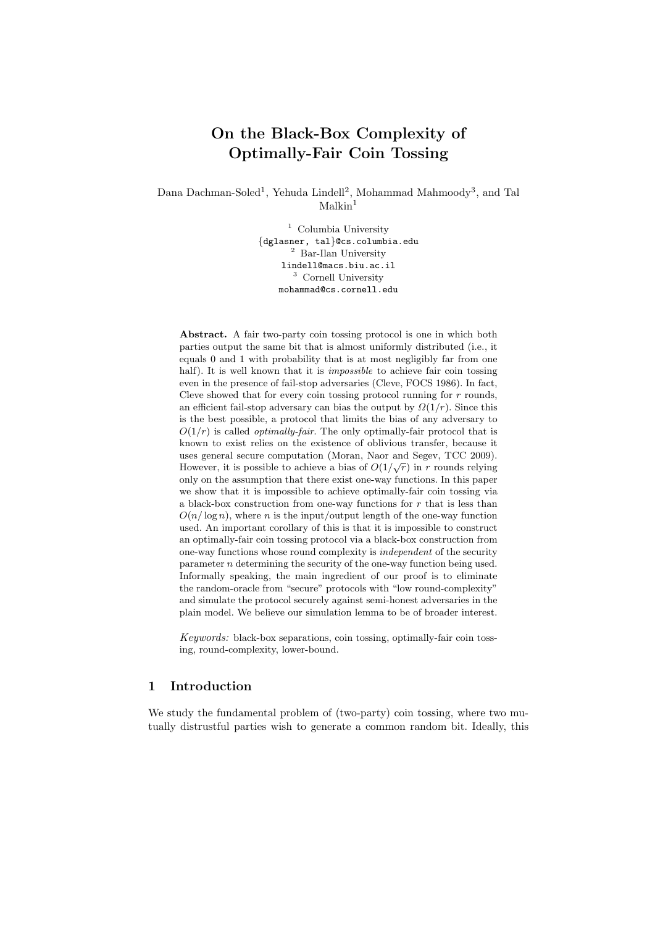# On the Black-Box Complexity of Optimally-Fair Coin Tossing

Dana Dachman-Soled<sup>1</sup>, Yehuda Lindell<sup>2</sup>, Mohammad Mahmoody<sup>3</sup>, and Tal  $Malkin<sup>1</sup>$ 

> <sup>1</sup> Columbia University {dglasner, tal}@cs.columbia.edu  $^2\,$  Bar-Ilan University lindell@macs.biu.ac.il <sup>3</sup> Cornell University mohammad@cs.cornell.edu

Abstract. A fair two-party coin tossing protocol is one in which both parties output the same bit that is almost uniformly distributed (i.e., it equals 0 and 1 with probability that is at most negligibly far from one half). It is well known that it is *impossible* to achieve fair coin tossing even in the presence of fail-stop adversaries (Cleve, FOCS 1986). In fact, Cleve showed that for every coin tossing protocol running for  $r$  rounds, an efficient fail-stop adversary can bias the output by  $\Omega(1/r)$ . Since this is the best possible, a protocol that limits the bias of any adversary to  $O(1/r)$  is called *optimally-fair*. The only optimally-fair protocol that is known to exist relies on the existence of oblivious transfer, because it uses general secure computation (Moran, Naor and Segev, TCC 2009). However, it is possible to achieve a bias of  $O(1/\sqrt{r})$  in r rounds relying only on the assumption that there exist one-way functions. In this paper we show that it is impossible to achieve optimally-fair coin tossing via a black-box construction from one-way functions for  $r$  that is less than  $O(n/\log n)$ , where n is the input/output length of the one-way function used. An important corollary of this is that it is impossible to construct an optimally-fair coin tossing protocol via a black-box construction from one-way functions whose round complexity is independent of the security parameter n determining the security of the one-way function being used. Informally speaking, the main ingredient of our proof is to eliminate the random-oracle from "secure" protocols with "low round-complexity" and simulate the protocol securely against semi-honest adversaries in the plain model. We believe our simulation lemma to be of broader interest.

Keywords: black-box separations, coin tossing, optimally-fair coin tossing, round-complexity, lower-bound.

## 1 Introduction

We study the fundamental problem of (two-party) coin tossing, where two mutually distrustful parties wish to generate a common random bit. Ideally, this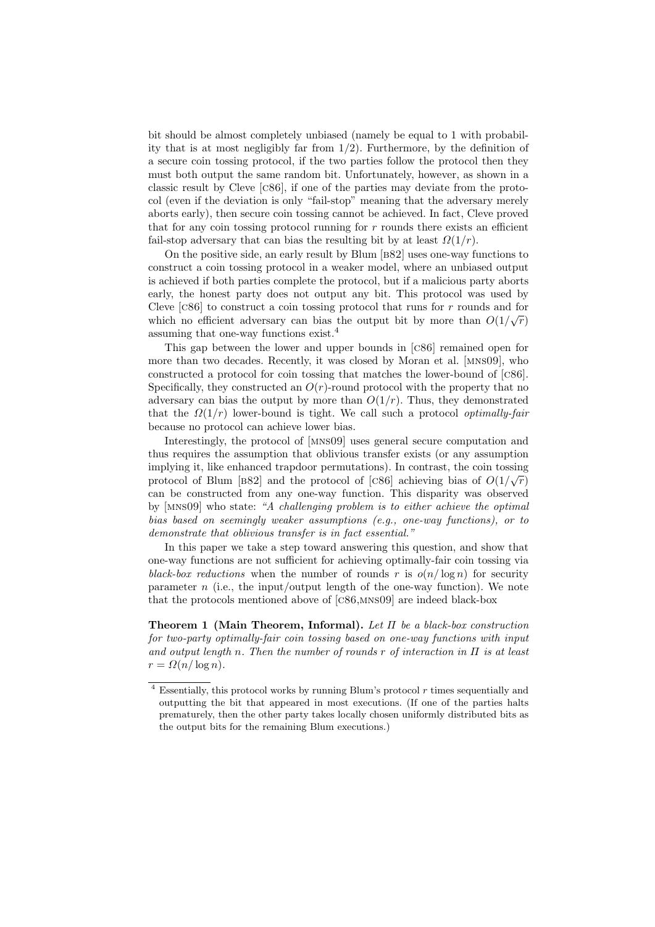bit should be almost completely unbiased (namely be equal to 1 with probability that is at most negligibly far from  $1/2$ ). Furthermore, by the definition of a secure coin tossing protocol, if the two parties follow the protocol then they must both output the same random bit. Unfortunately, however, as shown in a classic result by Cleve [c86], if one of the parties may deviate from the protocol (even if the deviation is only "fail-stop" meaning that the adversary merely aborts early), then secure coin tossing cannot be achieved. In fact, Cleve proved that for any coin tossing protocol running for  $r$  rounds there exists an efficient fail-stop adversary that can bias the resulting bit by at least  $\Omega(1/r)$ .

On the positive side, an early result by Blum [b82] uses one-way functions to construct a coin tossing protocol in a weaker model, where an unbiased output is achieved if both parties complete the protocol, but if a malicious party aborts early, the honest party does not output any bit. This protocol was used by Cleve [c86] to construct a coin tossing protocol that runs for r rounds and for which no efficient adversary can bias the output bit by more than  $O(1/\sqrt{r})$ assuming that one-way functions exist.<sup>4</sup>

This gap between the lower and upper bounds in [c86] remained open for more than two decades. Recently, it was closed by Moran et al. [mns09], who constructed a protocol for coin tossing that matches the lower-bound of [c86]. Specifically, they constructed an  $O(r)$ -round protocol with the property that no adversary can bias the output by more than  $O(1/r)$ . Thus, they demonstrated that the  $\Omega(1/r)$  lower-bound is tight. We call such a protocol *optimally-fair* because no protocol can achieve lower bias.

Interestingly, the protocol of [mns09] uses general secure computation and thus requires the assumption that oblivious transfer exists (or any assumption implying it, like enhanced trapdoor permutations). In contrast, the coin tossing protocol of Blum [B82] and the protocol of [C86] achieving bias of  $O(1/\sqrt{r})$ can be constructed from any one-way function. This disparity was observed by [mns09] who state: "A challenging problem is to either achieve the optimal bias based on seemingly weaker assumptions (e.g., one-way functions), or to demonstrate that oblivious transfer is in fact essential."

In this paper we take a step toward answering this question, and show that one-way functions are not sufficient for achieving optimally-fair coin tossing via black-box reductions when the number of rounds r is  $o(n/\log n)$  for security parameter n (i.e., the input/output length of the one-way function). We note that the protocols mentioned above of [c86,mns09] are indeed black-box

**Theorem 1 (Main Theorem, Informal).** Let  $\Pi$  be a black-box construction for two-party optimally-fair coin tossing based on one-way functions with input and output length n. Then the number of rounds r of interaction in  $\Pi$  is at least  $r = \Omega(n/\log n).$ 

 $4$  Essentially, this protocol works by running Blum's protocol  $r$  times sequentially and outputting the bit that appeared in most executions. (If one of the parties halts prematurely, then the other party takes locally chosen uniformly distributed bits as the output bits for the remaining Blum executions.)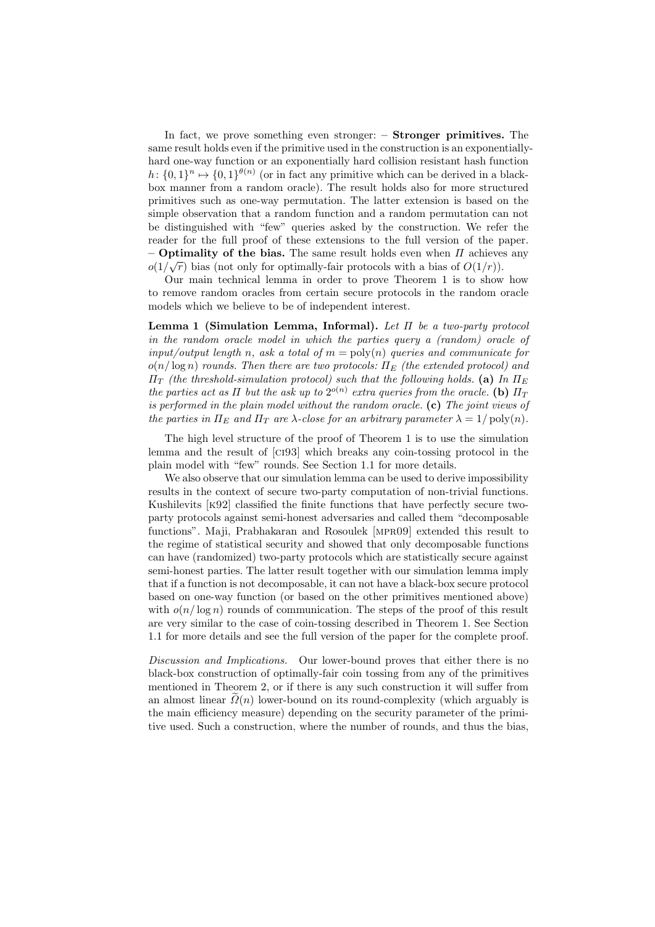In fact, we prove something even stronger: – Stronger primitives. The same result holds even if the primitive used in the construction is an exponentiallyhard one-way function or an exponentially hard collision resistant hash function  $h: \{0,1\}^n \mapsto \{0,1\}^{\theta(n)}$  (or in fact any primitive which can be derived in a blackbox manner from a random oracle). The result holds also for more structured primitives such as one-way permutation. The latter extension is based on the simple observation that a random function and a random permutation can not be distinguished with "few" queries asked by the construction. We refer the reader for the full proof of these extensions to the full version of the paper. – **Optimality of the bias.** The same result holds even when  $\Pi$  achieves any  $o(1/\sqrt{r})$  bias (not only for optimally-fair protocols with a bias of  $O(1/r)$ ).

Our main technical lemma in order to prove Theorem 1 is to show how to remove random oracles from certain secure protocols in the random oracle models which we believe to be of independent interest.

**Lemma 1 (Simulation Lemma, Informal).** Let  $\Pi$  be a two-party protocol in the random oracle model in which the parties query a (random) oracle of  $input/output$  length n, ask a total of  $m = poly(n)$  queries and communicate for  $o(n/\log n)$  rounds. Then there are two protocols:  $\Pi_E$  (the extended protocol) and  $\Pi_T$  (the threshold-simulation protocol) such that the following holds. (a) In  $\Pi_E$ the parties act as  $\Pi$  but the ask up to  $2^{o(n)}$  extra queries from the oracle. (b)  $\Pi_T$ is performed in the plain model without the random oracle.  $(c)$  The joint views of the parties in  $\Pi_E$  and  $\Pi_T$  are  $\lambda$ -close for an arbitrary parameter  $\lambda = 1/\text{poly}(n)$ .

The high level structure of the proof of Theorem 1 is to use the simulation lemma and the result of [ci93] which breaks any coin-tossing protocol in the plain model with "few" rounds. See Section 1.1 for more details.

We also observe that our simulation lemma can be used to derive impossibility results in the context of secure two-party computation of non-trivial functions. Kushilevits [k92] classified the finite functions that have perfectly secure twoparty protocols against semi-honest adversaries and called them "decomposable functions". Maji, Prabhakaran and Rosoulek [mpr09] extended this result to the regime of statistical security and showed that only decomposable functions can have (randomized) two-party protocols which are statistically secure against semi-honest parties. The latter result together with our simulation lemma imply that if a function is not decomposable, it can not have a black-box secure protocol based on one-way function (or based on the other primitives mentioned above) with  $o(n/\log n)$  rounds of communication. The steps of the proof of this result are very similar to the case of coin-tossing described in Theorem 1. See Section 1.1 for more details and see the full version of the paper for the complete proof.

Discussion and Implications. Our lower-bound proves that either there is no black-box construction of optimally-fair coin tossing from any of the primitives mentioned in Theorem 2, or if there is any such construction it will suffer from an almost linear  $\Omega(n)$  lower-bound on its round-complexity (which arguably is the main efficiency measure) depending on the security parameter of the primitive used. Such a construction, where the number of rounds, and thus the bias,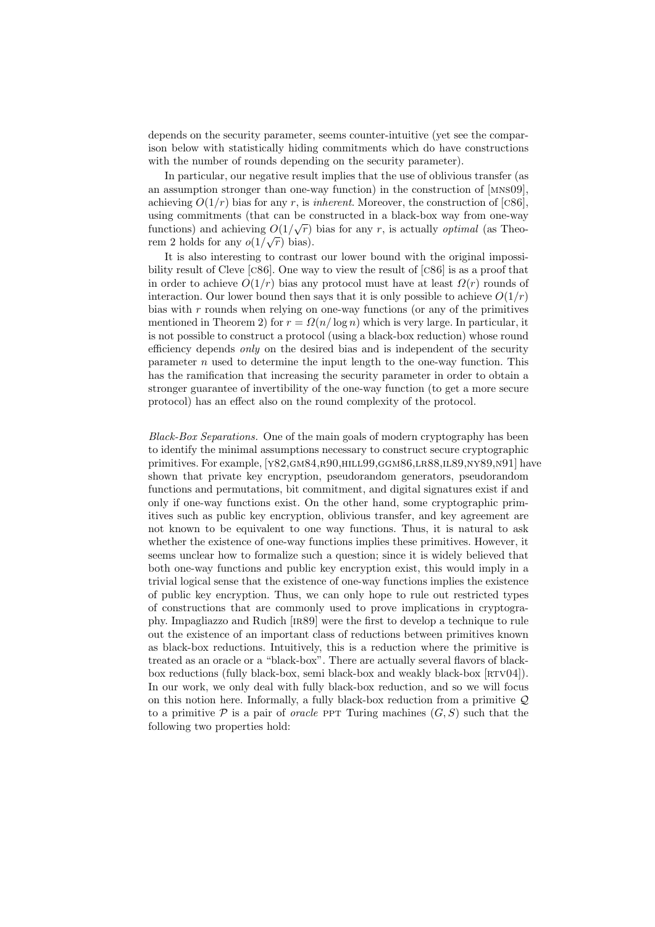depends on the security parameter, seems counter-intuitive (yet see the comparison below with statistically hiding commitments which do have constructions with the number of rounds depending on the security parameter).

In particular, our negative result implies that the use of oblivious transfer (as an assumption stronger than one-way function) in the construction of [mns09], achieving  $O(1/r)$  bias for any r, is *inherent*. Moreover, the construction of [c86], using commitments (that can be constructed in a black-box way from one-way tunctions) and achieving  $O(1/\sqrt{r})$  bias for any r, is actually *optimal* (as Theorem 2 holds for any  $o(1/\sqrt{r})$  bias).

It is also interesting to contrast our lower bound with the original impossibility result of Cleve [c86]. One way to view the result of [c86] is as a proof that in order to achieve  $O(1/r)$  bias any protocol must have at least  $\Omega(r)$  rounds of interaction. Our lower bound then says that it is only possible to achieve  $O(1/r)$ bias with  $r$  rounds when relying on one-way functions (or any of the primitives mentioned in Theorem 2) for  $r = \Omega(n/\log n)$  which is very large. In particular, it is not possible to construct a protocol (using a black-box reduction) whose round efficiency depends *only* on the desired bias and is independent of the security parameter  $n$  used to determine the input length to the one-way function. This has the ramification that increasing the security parameter in order to obtain a stronger guarantee of invertibility of the one-way function (to get a more secure protocol) has an effect also on the round complexity of the protocol.

Black-Box Separations. One of the main goals of modern cryptography has been to identify the minimal assumptions necessary to construct secure cryptographic primitives. For example, [Y82,GM84,R90,HILL99,GGM86,LR88,IL89,NY89,N91] have shown that private key encryption, pseudorandom generators, pseudorandom functions and permutations, bit commitment, and digital signatures exist if and only if one-way functions exist. On the other hand, some cryptographic primitives such as public key encryption, oblivious transfer, and key agreement are not known to be equivalent to one way functions. Thus, it is natural to ask whether the existence of one-way functions implies these primitives. However, it seems unclear how to formalize such a question; since it is widely believed that both one-way functions and public key encryption exist, this would imply in a trivial logical sense that the existence of one-way functions implies the existence of public key encryption. Thus, we can only hope to rule out restricted types of constructions that are commonly used to prove implications in cryptography. Impagliazzo and Rudich [ir89] were the first to develop a technique to rule out the existence of an important class of reductions between primitives known as black-box reductions. Intuitively, this is a reduction where the primitive is treated as an oracle or a "black-box". There are actually several flavors of blackbox reductions (fully black-box, semi black-box and weakly black-box  $[\text{RTV04}]$ ). In our work, we only deal with fully black-box reduction, and so we will focus on this notion here. Informally, a fully black-box reduction from a primitive  $\mathcal{Q}$ to a primitive  $P$  is a pair of *oracle* PPT Turing machines  $(G, S)$  such that the following two properties hold: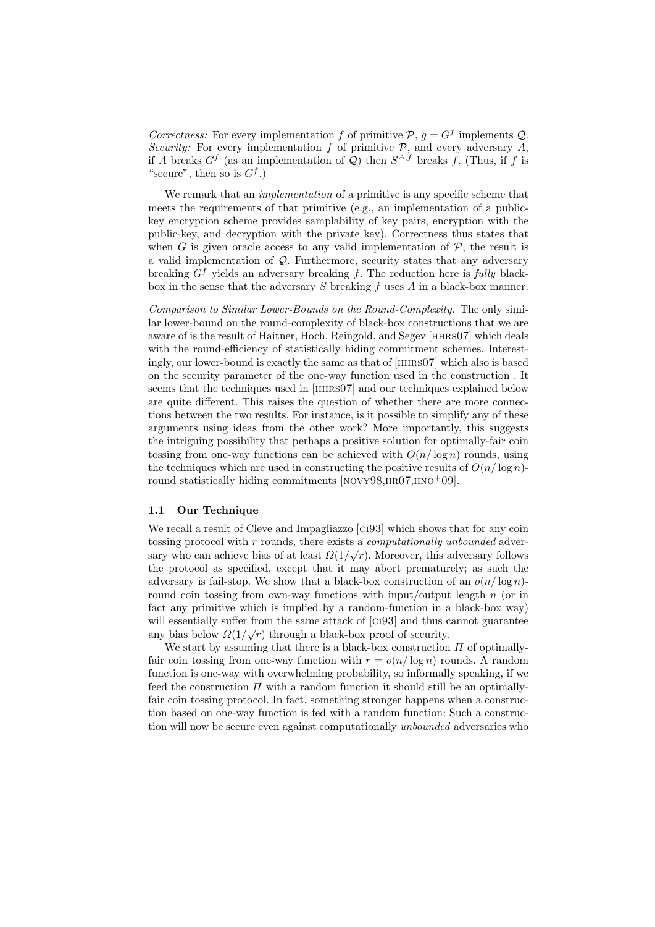Correctness: For every implementation f of primitive  $P, g = G^f$  implements Q. Security: For every implementation f of primitive  $P$ , and every adversary A, if A breaks  $G^f$  (as an implementation of Q) then  $S^{A,f}$  breaks f. (Thus, if f is "secure", then so is  $G<sup>f</sup>$ .)

We remark that an *implementation* of a primitive is any specific scheme that meets the requirements of that primitive (e.g., an implementation of a publickey encryption scheme provides samplability of key pairs, encryption with the public-key, and decryption with the private key). Correctness thus states that when G is given oracle access to any valid implementation of  $P$ , the result is a valid implementation of  $\mathcal{Q}$ . Furthermore, security states that any adversary breaking  $G<sup>f</sup>$  yields an adversary breaking f. The reduction here is fully blackbox in the sense that the adversary  $S$  breaking  $f$  uses  $A$  in a black-box manner.

Comparison to Similar Lower-Bounds on the Round-Complexity. The only similar lower-bound on the round-complexity of black-box constructions that we are aware of is the result of Haitner, Hoch, Reingold, and Segev [hhrs07] which deals with the round-efficiency of statistically hiding commitment schemes. Interestingly, our lower-bound is exactly the same as that of [hhrs07] which also is based on the security parameter of the one-way function used in the construction . It seems that the techniques used in [hhrs07] and our techniques explained below are quite different. This raises the question of whether there are more connections between the two results. For instance, is it possible to simplify any of these arguments using ideas from the other work? More importantly, this suggests the intriguing possibility that perhaps a positive solution for optimally-fair coin tossing from one-way functions can be achieved with  $O(n/\log n)$  rounds, using the techniques which are used in constructing the positive results of  $O(n/\log n)$ round statistically hiding commitments  $\text{[NOVY98,HR07,HNO}^+09]$ .

#### 1.1 Our Technique

We recall a result of Cleve and Impagliazzo [ci93] which shows that for any coin tossing protocol with r rounds, there exists a *computationally unbounded* adversary who can achieve bias of at least  $\Omega(1/\sqrt{r})$ . Moreover, this adversary follows the protocol as specified, except that it may abort prematurely; as such the adversary is fail-stop. We show that a black-box construction of an  $o(n/\log n)$ round coin tossing from own-way functions with input/output length  $n$  (or in fact any primitive which is implied by a random-function in a black-box way) will essentially suffer from the same attack of [CI93] and thus cannot guarantee any bias below  $\Omega(1/\sqrt{r})$  through a black-box proof of security.

We start by assuming that there is a black-box construction  $\Pi$  of optimallyfair coin tossing from one-way function with  $r = o(n/\log n)$  rounds. A random function is one-way with overwhelming probability, so informally speaking, if we feed the construction  $\Pi$  with a random function it should still be an optimallyfair coin tossing protocol. In fact, something stronger happens when a construction based on one-way function is fed with a random function: Such a construction will now be secure even against computationally *unbounded* adversaries who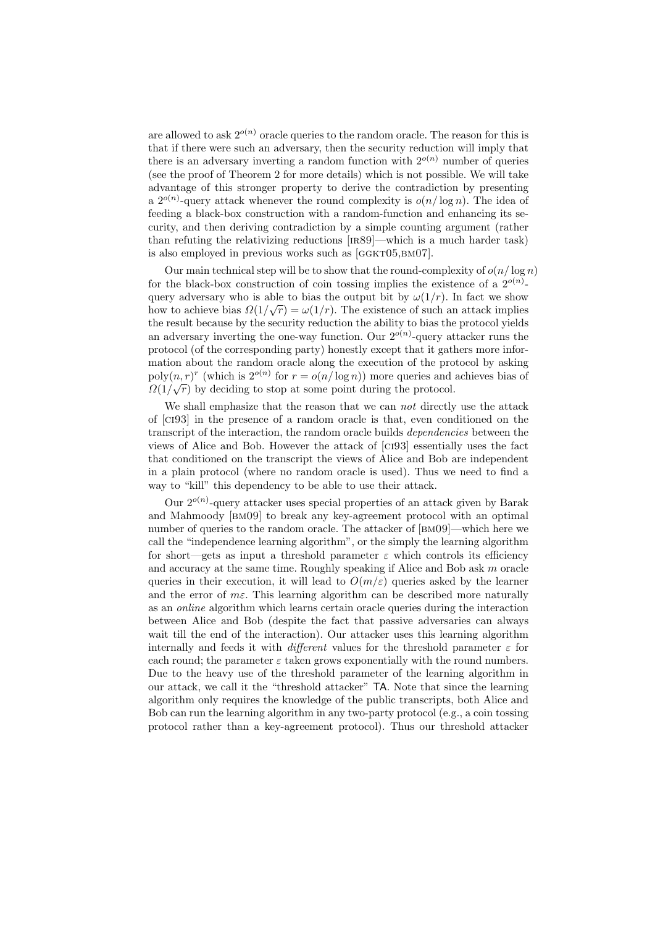are allowed to ask  $2^{o(n)}$  oracle queries to the random oracle. The reason for this is that if there were such an adversary, then the security reduction will imply that there is an adversary inverting a random function with  $2^{o(n)}$  number of queries (see the proof of Theorem 2 for more details) which is not possible. We will take advantage of this stronger property to derive the contradiction by presenting a  $2^{o(n)}$ -query attack whenever the round complexity is  $o(n/\log n)$ . The idea of feeding a black-box construction with a random-function and enhancing its security, and then deriving contradiction by a simple counting argument (rather than refuting the relativizing reductions [ir89]—which is a much harder task) is also employed in previous works such as  $[GGKT05,BM07]$ .

Our main technical step will be to show that the round-complexity of  $o(n/\log n)$ for the black-box construction of coin tossing implies the existence of a  $2^{o(n)}$ query adversary who is able to bias the output bit by  $\omega(1/r)$ . In fact we show how to achieve bias  $\Omega(1/\sqrt{r}) = \omega(1/r)$ . The existence of such an attack implies the result because by the security reduction the ability to bias the protocol yields an adversary inverting the one-way function. Our  $2^{o(n)}$ -query attacker runs the protocol (of the corresponding party) honestly except that it gathers more information about the random oracle along the execution of the protocol by asking poly $(n, r)^r$  (which is  $2^{o(n)}$  for  $r = o(n/\log n)$ ) more queries and achieves bias of  $\Omega(1/\sqrt{r})$  by deciding to stop at some point during the protocol.

We shall emphasize that the reason that we can not directly use the attack of [ci93] in the presence of a random oracle is that, even conditioned on the transcript of the interaction, the random oracle builds *dependencies* between the views of Alice and Bob. However the attack of [ci93] essentially uses the fact that conditioned on the transcript the views of Alice and Bob are independent in a plain protocol (where no random oracle is used). Thus we need to find a way to "kill" this dependency to be able to use their attack.

Our  $2^{o(n)}$ -query attacker uses special properties of an attack given by Barak and Mahmoody [bm09] to break any key-agreement protocol with an optimal number of queries to the random oracle. The attacker of [BM09]—which here we call the "independence learning algorithm", or the simply the learning algorithm for short—gets as input a threshold parameter  $\varepsilon$  which controls its efficiency and accuracy at the same time. Roughly speaking if Alice and Bob ask  $m$  oracle queries in their execution, it will lead to  $O(m/\varepsilon)$  queries asked by the learner and the error of  $m\epsilon$ . This learning algorithm can be described more naturally as an online algorithm which learns certain oracle queries during the interaction between Alice and Bob (despite the fact that passive adversaries can always wait till the end of the interaction). Our attacker uses this learning algorithm internally and feeds it with *different* values for the threshold parameter  $\varepsilon$  for each round; the parameter  $\varepsilon$  taken grows exponentially with the round numbers. Due to the heavy use of the threshold parameter of the learning algorithm in our attack, we call it the "threshold attacker" TA. Note that since the learning algorithm only requires the knowledge of the public transcripts, both Alice and Bob can run the learning algorithm in any two-party protocol (e.g., a coin tossing protocol rather than a key-agreement protocol). Thus our threshold attacker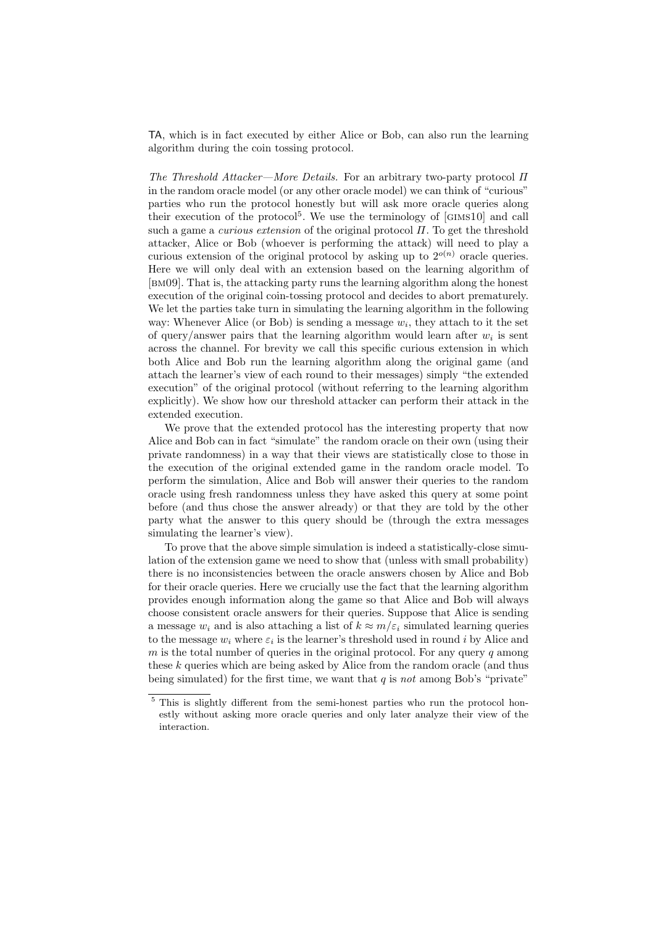TA, which is in fact executed by either Alice or Bob, can also run the learning algorithm during the coin tossing protocol.

The Threshold Attacker—More Details. For an arbitrary two-party protocol  $\Pi$ in the random oracle model (or any other oracle model) we can think of "curious" parties who run the protocol honestly but will ask more oracle queries along their execution of the protocol<sup>5</sup>. We use the terminology of  $[GIMs10]$  and call such a game a *curious extension* of the original protocol  $\Pi$ . To get the threshold attacker, Alice or Bob (whoever is performing the attack) will need to play a curious extension of the original protocol by asking up to  $2^{o(n)}$  oracle queries. Here we will only deal with an extension based on the learning algorithm of [bm09]. That is, the attacking party runs the learning algorithm along the honest execution of the original coin-tossing protocol and decides to abort prematurely. We let the parties take turn in simulating the learning algorithm in the following way: Whenever Alice (or Bob) is sending a message  $w_i$ , they attach to it the set of query/answer pairs that the learning algorithm would learn after  $w_i$  is sent across the channel. For brevity we call this specific curious extension in which both Alice and Bob run the learning algorithm along the original game (and attach the learner's view of each round to their messages) simply "the extended execution" of the original protocol (without referring to the learning algorithm explicitly). We show how our threshold attacker can perform their attack in the extended execution.

We prove that the extended protocol has the interesting property that now Alice and Bob can in fact "simulate" the random oracle on their own (using their private randomness) in a way that their views are statistically close to those in the execution of the original extended game in the random oracle model. To perform the simulation, Alice and Bob will answer their queries to the random oracle using fresh randomness unless they have asked this query at some point before (and thus chose the answer already) or that they are told by the other party what the answer to this query should be (through the extra messages simulating the learner's view).

To prove that the above simple simulation is indeed a statistically-close simulation of the extension game we need to show that (unless with small probability) there is no inconsistencies between the oracle answers chosen by Alice and Bob for their oracle queries. Here we crucially use the fact that the learning algorithm provides enough information along the game so that Alice and Bob will always choose consistent oracle answers for their queries. Suppose that Alice is sending a message  $w_i$  and is also attaching a list of  $k \approx m/\varepsilon_i$  simulated learning queries to the message  $w_i$  where  $\varepsilon_i$  is the learner's threshold used in round i by Alice and  $m$  is the total number of queries in the original protocol. For any query  $q$  among these k queries which are being asked by Alice from the random oracle (and thus being simulated) for the first time, we want that  $q$  is not among Bob's "private"

<sup>&</sup>lt;sup>5</sup> This is slightly different from the semi-honest parties who run the protocol honestly without asking more oracle queries and only later analyze their view of the interaction.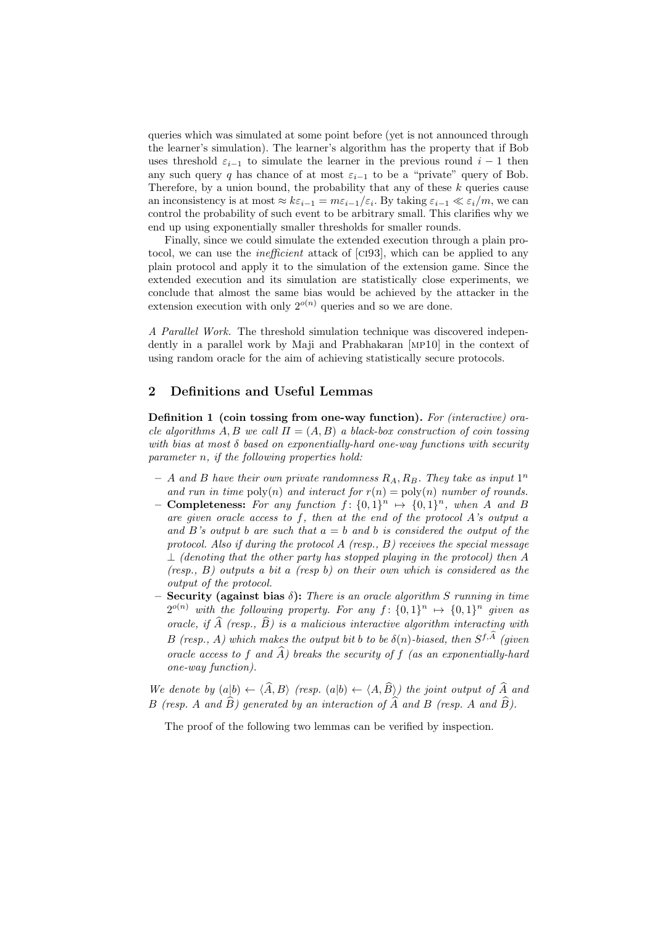queries which was simulated at some point before (yet is not announced through the learner's simulation). The learner's algorithm has the property that if Bob uses threshold  $\varepsilon_{i-1}$  to simulate the learner in the previous round  $i-1$  then any such query q has chance of at most  $\varepsilon_{i-1}$  to be a "private" query of Bob. Therefore, by a union bound, the probability that any of these  $k$  queries cause an inconsistency is at most  $\approx k\varepsilon_{i-1} = m\varepsilon_{i-1}/\varepsilon_i$ . By taking  $\varepsilon_{i-1} \ll \varepsilon_i/m$ , we can control the probability of such event to be arbitrary small. This clarifies why we end up using exponentially smaller thresholds for smaller rounds.

Finally, since we could simulate the extended execution through a plain protocol, we can use the *inefficient* attack of [CI93], which can be applied to any plain protocol and apply it to the simulation of the extension game. Since the extended execution and its simulation are statistically close experiments, we conclude that almost the same bias would be achieved by the attacker in the extension execution with only  $2^{o(n)}$  queries and so we are done.

A Parallel Work. The threshold simulation technique was discovered independently in a parallel work by Maji and Prabhakaran [mp10] in the context of using random oracle for the aim of achieving statistically secure protocols.

## 2 Definitions and Useful Lemmas

Definition 1 (coin tossing from one-way function). For (interactive) oracle algorithms A, B we call  $\Pi = (A, B)$  a black-box construction of coin tossing with bias at most  $\delta$  based on exponentially-hard one-way functions with security parameter n, if the following properties hold:

- $-$  A and B have their own private randomness  $R_A, R_B$ . They take as input  $1^n$ and run in time  $poly(n)$  and interact for  $r(n) = poly(n)$  number of rounds.
- Completeness: For any function  $f: \{0,1\}^n \mapsto \{0,1\}^n$ , when A and B are given oracle access to f, then at the end of the protocol A's output a and B's output b are such that  $a = b$  and b is considered the output of the protocol. Also if during the protocol  $A$  (resp.,  $B$ ) receives the special message  $\perp$  (denoting that the other party has stopped playing in the protocol) then A  $(resp., B)$  outputs a bit a  $(resp b)$  on their own which is considered as the output of the protocol.
- **Security (against bias**  $\delta$ **):** There is an oracle algorithm S running in time  $2^{o(n)}$  with the following property. For any  $f: \{0,1\}^n \mapsto \{0,1\}^n$  given as oracle, if  $\widehat{A}$  (resp.,  $\widehat{B}$ ) is a malicious interactive algorithm interacting with B (resp., A) which makes the output bit b to be  $\delta(n)$ -biased, then  $S^{f,\overline{A}}$  (given oracle access to f and  $\widehat{A}$ ) breaks the security of f (as an exponentially-hard one-way function).

We denote by  $(a|b) \leftarrow \langle \widehat{A}, B \rangle$  (resp.  $(a|b) \leftarrow \langle A, \widehat{B} \rangle$ ) the joint output of  $\widehat{A}$  and B (resp. A and  $\widehat{B}$ ) generated by an interaction of  $\widehat{A}$  and  $B$  (resp. A and  $\widehat{B}$ ).

The proof of the following two lemmas can be verified by inspection.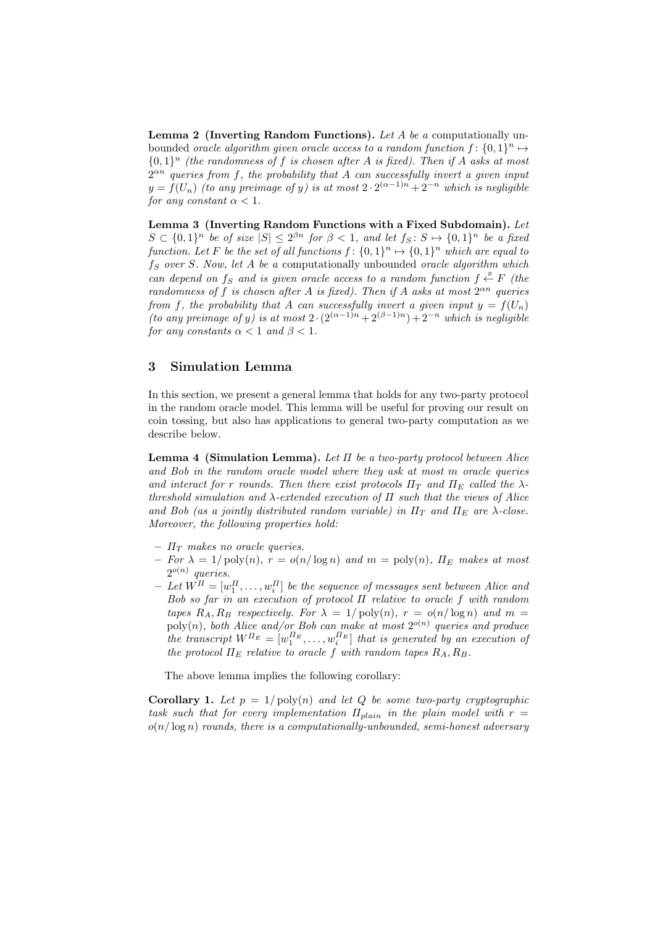**Lemma 2 (Inverting Random Functions).** Let A be a computationally unbounded oracle algorithm given oracle access to a random function  $f: \{0,1\}^n \mapsto$  ${0,1}<sup>n</sup>$  (the randomness of f is chosen after A is fixed). Then if A asks at most  $2^{\alpha n}$  queries from f, the probability that A can successfully invert a given input  $y = f(U_n)$  (to any preimage of y) is at most  $2 \cdot 2^{(\alpha-1)n} + 2^{-n}$  which is negligible for any constant  $\alpha < 1$ .

Lemma 3 (Inverting Random Functions with a Fixed Subdomain). Let  $S \subset \{0,1\}^n$  be of size  $|S| \leq 2^{\beta n}$  for  $\beta < 1$ , and let  $f_S : S \mapsto \{0,1\}^n$  be a fixed function. Let F be the set of all functions  $f: \{0,1\}^n \mapsto \{0,1\}^n$  which are equal to  $f_S$  over S. Now, let A be a computationally unbounded oracle algorithm which can depend on  $f_S$  and is given oracle access to a random function  $f \stackrel{R}{\leftarrow} F$  (the randomness of f is chosen after A is fixed). Then if A asks at most  $2^{\alpha n}$  queries from f, the probability that A can successfully invert a given input  $y = f(U_n)$ (to any preimage of y) is at most  $2 \cdot (2^{(\alpha-1)n} + 2^{(\beta-1)n}) + 2^{-n}$  which is negligible for any constants  $\alpha < 1$  and  $\beta < 1$ .

## 3 Simulation Lemma

In this section, we present a general lemma that holds for any two-party protocol in the random oracle model. This lemma will be useful for proving our result on coin tossing, but also has applications to general two-party computation as we describe below.

**Lemma 4 (Simulation Lemma).** Let  $\Pi$  be a two-party protocol between Alice and Bob in the random oracle model where they ask at most m oracle queries and interact for r rounds. Then there exist protocols  $\Pi_T$  and  $\Pi_E$  called the  $\lambda$ threshold simulation and  $\lambda$ -extended execution of  $\Pi$  such that the views of Alice and Bob (as a jointly distributed random variable) in  $\Pi_T$  and  $\Pi_E$  are  $\lambda$ -close. Moreover, the following properties hold:

- $\Pi_T$  makes no oracle queries.
- For  $\lambda = 1/\text{poly}(n)$ ,  $r = o(n/\log n)$  and  $m = \text{poly}(n)$ ,  $\Pi_E$  makes at most  $2^{o(n)}$  queries.
- $I Let W^{\Pi} = [w_1^{\Pi}, \dots, w_i^{\Pi}]$  be the sequence of messages sent between Alice and Bob so far in an execution of protocol Π relative to oracle f with random tapes  $R_A, R_B$  respectively. For  $\lambda = 1/\text{poly}(n)$ ,  $r = o(n/\log n)$  and  $m =$  $\text{poly}(n)$ , both Alice and/or Bob can make at most  $2^{o(n)}$  queries and produce the transcript  $W^{H_E} = [w_1^{H_E}, \ldots, w_i^{H_E}]$  that is generated by an execution of the protocol  $\Pi_E$  relative to oracle f with random tapes  $R_A, R_B$ .

The above lemma implies the following corollary:

**Corollary 1.** Let  $p = 1/\text{poly}(n)$  and let Q be some two-party cryptographic task such that for every implementation  $\Pi_{plain}$  in the plain model with  $r =$  $o(n/\log n)$  rounds, there is a computationally-unbounded, semi-honest adversary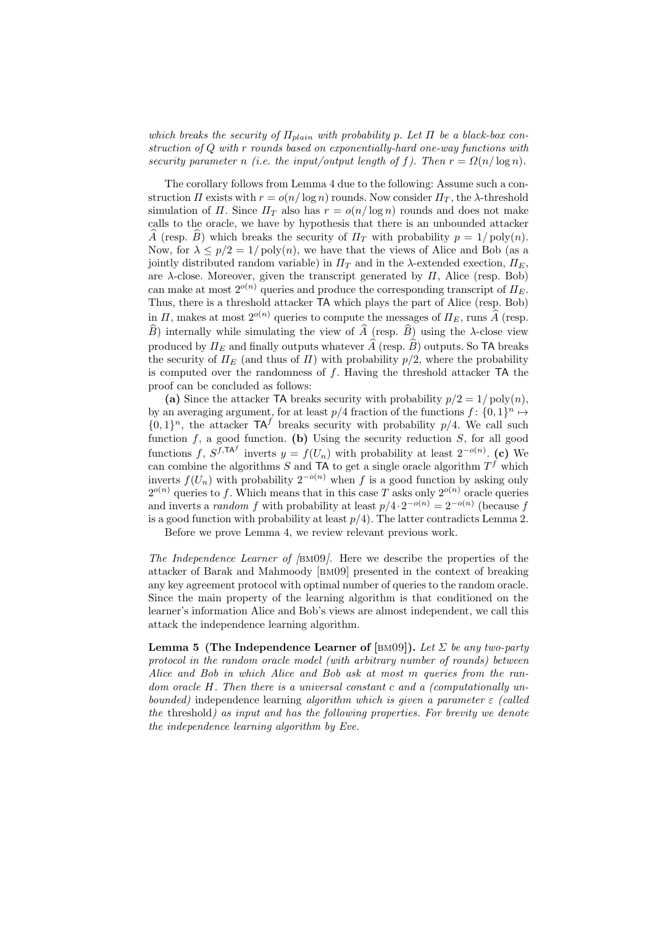which breaks the security of  $\Pi_{plain}$  with probability p. Let  $\Pi$  be a black-box construction of Q with r rounds based on exponentially-hard one-way functions with security parameter n (i.e. the input/output length of f). Then  $r = \Omega(n/\log n)$ .

The corollary follows from Lemma 4 due to the following: Assume such a construction  $\Pi$  exists with  $r = o(n/\log n)$  rounds. Now consider  $\Pi_T$ , the  $\lambda$ -threshold simulation of  $\Pi$ . Since  $\Pi_T$  also has  $r = o(n/\log n)$  rounds and does not make calls to the oracle, we have by hypothesis that there is an unbounded attacker  $\widehat{A}$  (resp.  $\widehat{B}$ ) which breaks the security of  $\Pi_T$  with probability  $p = 1/\text{poly}(n)$ . Now, for  $\lambda \leq p/2 = 1/\text{poly}(n)$ , we have that the views of Alice and Bob (as a jointly distributed random variable) in  $\Pi_T$  and in the  $\lambda$ -extended exection,  $\Pi_F$ , are  $\lambda$ -close. Moreover, given the transcript generated by  $\Pi$ , Alice (resp. Bob) can make at most  $2^{o(n)}$  queries and produce the corresponding transcript of  $\Pi_E$ . Thus, there is a threshold attacker TA which plays the part of Alice (resp. Bob) in  $\Pi$ , makes at most  $2^{o(n)}$  queries to compute the messages of  $\Pi_E$ , runs  $\widehat{A}$  (resp.  $\widehat{B}$ ) internally while simulating the view of  $\widehat{A}$  (resp.  $\widehat{B}$ ) using the  $\lambda$ -close view produced by  $\Pi_E$  and finally outputs whatever  $\widehat{A}$  (resp.  $\widehat{B}$ ) outputs. So TA breaks the security of  $\Pi_E$  (and thus of  $\Pi$ ) with probability  $p/2$ , where the probability is computed over the randomness of  $f$ . Having the threshold attacker  $TA$  the proof can be concluded as follows:

(a) Since the attacker TA breaks security with probability  $p/2 = 1/\text{poly}(n)$ , by an averaging argument, for at least  $p/4$  fraction of the functions  $f: \{0,1\}^n \mapsto$  $\{0,1\}^n$ , the attacker  $TA^f$  breaks security with probability  $p/4$ . We call such function  $f$ , a good function. (b) Using the security reduction  $S$ , for all good functions f,  $S^{f,\mathsf{T}A^f}$  inverts  $y = f(U_n)$  with probability at least  $2^{-o(n)}$ . (c) We can combine the algorithms S and TA to get a single oracle algorithm  $T<sup>f</sup>$  which inverts  $f(U_n)$  with probability  $2^{-o(n)}$  when f is a good function by asking only  $2^{o(n)}$  queries to f. Which means that in this case T asks only  $2^{o(n)}$  oracle queries and inverts a *random* f with probability at least  $p/4 \cdot 2^{-o(n)} = 2^{-o(n)}$  (because f is a good function with probability at least  $p/4$ ). The latter contradicts Lemma 2.

Before we prove Lemma 4, we review relevant previous work.

The Independence Learner of [bm09]. Here we describe the properties of the attacker of Barak and Mahmoody [bm09] presented in the context of breaking any key agreement protocol with optimal number of queries to the random oracle. Since the main property of the learning algorithm is that conditioned on the learner's information Alice and Bob's views are almost independent, we call this attack the independence learning algorithm.

**Lemma 5 (The Independence Learner of** [BM09]). Let  $\Sigma$  be any two-party protocol in the random oracle model (with arbitrary number of rounds) between Alice and Bob in which Alice and Bob ask at most m queries from the random oracle H. Then there is a universal constant c and a (computationally unbounded) independence learning algorithm which is given a parameter  $\varepsilon$  (called the threshold) as input and has the following properties. For brevity we denote the independence learning algorithm by Eve.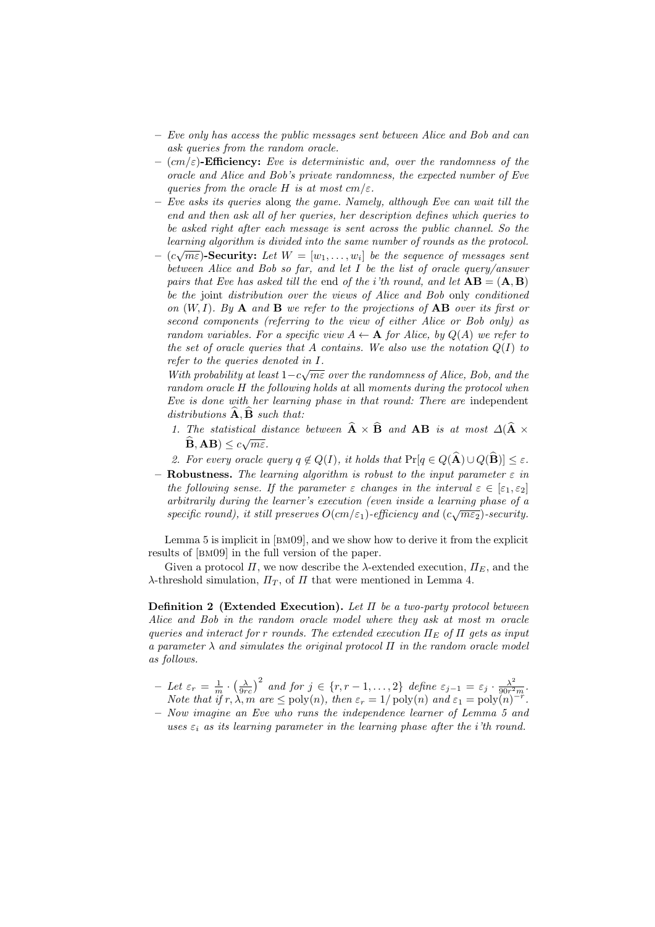- Eve only has access the public messages sent between Alice and Bob and can ask queries from the random oracle.
- $-$  (cm/ $\varepsilon$ )-Efficiency: Eve is deterministic and, over the randomness of the oracle and Alice and Bob's private randomness, the expected number of Eve queries from the oracle H is at most  $cm/\varepsilon$ .
- $-$  Eve asks its queries along the game. Namely, although Eve can wait till the end and then ask all of her queries, her description defines which queries to be asked right after each message is sent across the public channel. So the learning algorithm is divided into the same number of rounds as the protocol.<br>  $\overline{(\cdot,\cdot)}$
- $-$  (c $\sqrt{m \varepsilon}$ )-Security: Let  $W = [w_1, \ldots, w_i]$  be the sequence of messages sent between Alice and Bob so far, and let I be the list of oracle query/answer pairs that Eve has asked till the end of the i'th round, and let  $AB = (A, B)$ be the joint distribution over the views of Alice and Bob only conditioned on  $(W, I)$ . By A and B we refer to the projections of AB over its first or second components (referring to the view of either Alice or Bob only) as random variables. For a specific view  $A \leftarrow A$  for Alice, by  $Q(A)$  we refer to the set of oracle queries that A contains. We also use the notation  $Q(I)$  to *refer to the queries denoted in I.*

With probability at least  $1-c\sqrt{m\varepsilon}$  over the randomness of Alice, Bob, and the random oracle H the following holds at all moments during the protocol when Eve is done with her learning phase in that round: There are independent distributions  $\overline{A}, \overline{B}$  such that:

- 1. The statistical distance between  $\mathbf{A} \times \mathbf{B}$  and  $\mathbf{A}\mathbf{B}$  is at most  $\Delta(\mathbf{A} \times \widehat{\mathbf{A}})$  $\mathbf{B}, \mathbf{AB}) \leq c\sqrt{m\varepsilon}.$
- 2. For every oracle query  $q \notin Q(I)$ , it holds that  $Pr[q \in Q(\widehat{\mathbf{A}}) \cup Q(\widehat{\mathbf{B}})] \leq \varepsilon$ .
- Robustness. The learning algorithm is robust to the input parameter  $\varepsilon$  in the following sense. If the parameter  $\varepsilon$  changes in the interval  $\varepsilon \in [\varepsilon_1, \varepsilon_2]$ arbitrarily during the learner's execution (even inside a learning phase of a  $s$  pecific round), it still preserves  $O(cm/\varepsilon_1)$ -efficiency and  $(c\sqrt{m\varepsilon_2})$ -security.

Lemma 5 is implicit in [bm09], and we show how to derive it from the explicit results of [bm09] in the full version of the paper.

Given a protocol  $\Pi$ , we now describe the  $\lambda$ -extended execution,  $\Pi_E$ , and the  $\lambda$ -threshold simulation,  $\Pi_T$ , of  $\Pi$  that were mentioned in Lemma 4.

Definition 2 (Extended Execution). Let  $\Pi$  be a two-party protocol between Alice and Bob in the random oracle model where they ask at most m oracle queries and interact for r rounds. The extended execution  $\Pi_F$  of  $\Pi$  gets as input a parameter  $\lambda$  and simulates the original protocol  $\Pi$  in the random oracle model as follows.

- $-I$  Let  $\varepsilon_r = \frac{1}{m} \cdot (\frac{\lambda}{9rc})^2$  and for  $j \in \{r, r 1, ..., 2\}$  define  $\varepsilon_{j-1} = \varepsilon_j \cdot \frac{\lambda^2}{90r^2}$  $\frac{\lambda^2}{90r^2m}$ . Note that if  $r, \lambda, m$  are  $\leq$  poly $(n)$ , then  $\varepsilon_r = 1/\text{poly}(n)$  and  $\varepsilon_1 = \text{poly}(n)^{-r}$ .
- Now imagine an Eve who runs the independence learner of Lemma 5 and uses  $\varepsilon_i$  as its learning parameter in the learning phase after the i'th round.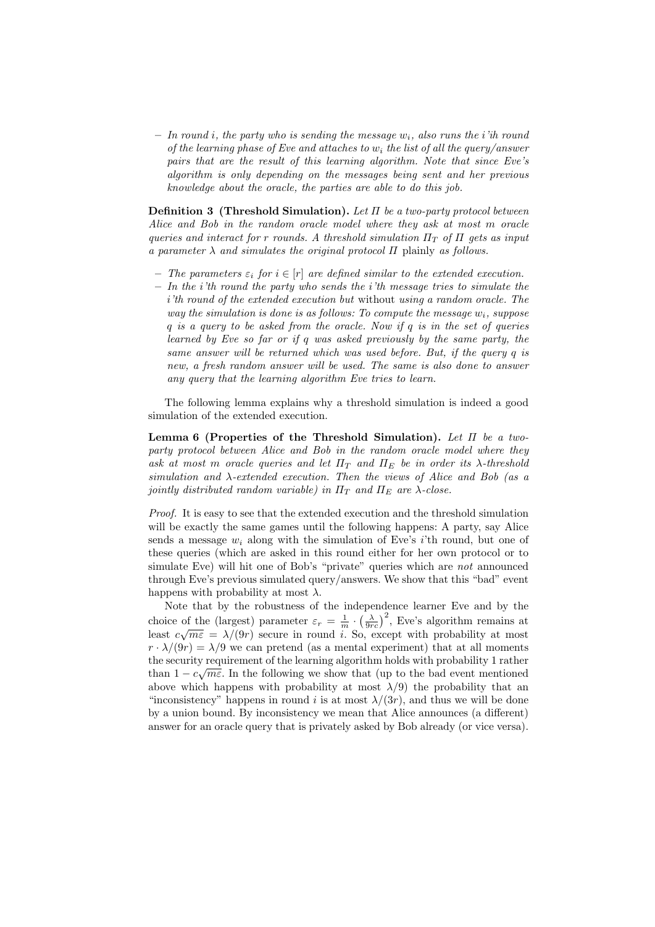$-$  In round i, the party who is sending the message  $w_i$ , also runs the *i*'ih round of the learning phase of Eve and attaches to  $w_i$  the list of all the query/answer pairs that are the result of this learning algorithm. Note that since Eve's algorithm is only depending on the messages being sent and her previous knowledge about the oracle, the parties are able to do this job.

Definition 3 (Threshold Simulation). Let  $\Pi$  be a two-party protocol between Alice and Bob in the random oracle model where they ask at most m oracle queries and interact for r rounds. A threshold simulation  $\Pi_T$  of  $\Pi$  gets as input a parameter  $\lambda$  and simulates the original protocol  $\Pi$  plainly as follows.

- The parameters  $\varepsilon_i$  for  $i \in [r]$  are defined similar to the extended execution.
- $-$  In the i'th round the party who sends the i'th message tries to simulate the i'th round of the extended execution but without using a random oracle. The way the simulation is done is as follows: To compute the message  $w_i$ , suppose  $q$  is a query to be asked from the oracle. Now if  $q$  is in the set of queries learned by Eve so far or if q was asked previously by the same party, the same answer will be returned which was used before. But, if the query q is new, a fresh random answer will be used. The same is also done to answer any query that the learning algorithm Eve tries to learn.

The following lemma explains why a threshold simulation is indeed a good simulation of the extended execution.

Lemma 6 (Properties of the Threshold Simulation). Let  $\Pi$  be a twoparty protocol between Alice and Bob in the random oracle model where they ask at most m oracle queries and let  $\Pi_T$  and  $\Pi_E$  be in order its  $\lambda$ -threshold simulation and  $\lambda$ -extended execution. Then the views of Alice and Bob (as a jointly distributed random variable) in  $\Pi_T$  and  $\Pi_E$  are  $\lambda$ -close.

Proof. It is easy to see that the extended execution and the threshold simulation will be exactly the same games until the following happens: A party, say Alice sends a message  $w_i$  along with the simulation of Eve's i'th round, but one of these queries (which are asked in this round either for her own protocol or to simulate Eve) will hit one of Bob's "private" queries which are *not* announced through Eve's previous simulated query/answers. We show that this "bad" event happens with probability at most  $\lambda$ .

Note that by the robustness of the independence learner Eve and by the choice of the (largest) parameter  $\varepsilon_r = \frac{1}{m} \cdot (\frac{\lambda}{9rc})^2$ , Eve's algorithm remains at choice of the (largest) parameter  $\varepsilon_r = \frac{1}{m} \cdot (\frac{9r}{9rc})$ , Eve's algorithm remains at least  $c\sqrt{m\varepsilon} = \lambda/(9r)$  secure in round *i*. So, except with probability at most  $r \cdot \lambda/(9r) = \lambda/9$  we can pretend (as a mental experiment) that at all moments the security requirement of the learning algorithm holds with probability 1 rather than  $1 - c\sqrt{m\varepsilon}$ . In the following we show that (up to the bad event mentioned above which happens with probability at most  $\lambda/9$  the probability that an "inconsistency" happens in round i is at most  $\lambda/(3r)$ , and thus we will be done by a union bound. By inconsistency we mean that Alice announces (a different) answer for an oracle query that is privately asked by Bob already (or vice versa).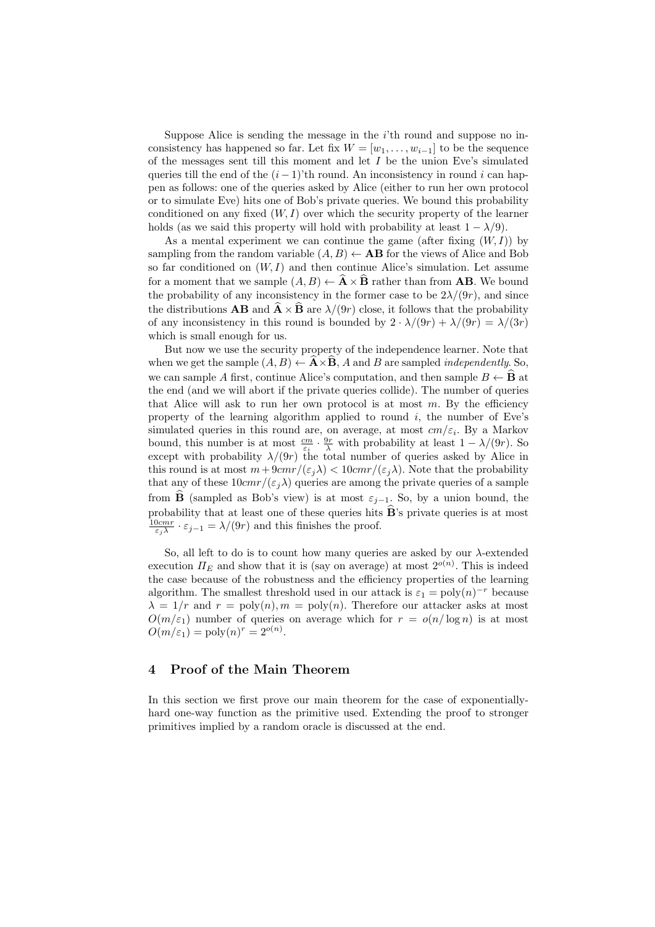Suppose Alice is sending the message in the  $i$ <sup>th</sup> round and suppose no inconsistency has happened so far. Let fix  $W = [w_1, \ldots, w_{i-1}]$  to be the sequence of the messages sent till this moment and let  $I$  be the union Eve's simulated queries till the end of the  $(i - 1)$ 'th round. An inconsistency in round i can happen as follows: one of the queries asked by Alice (either to run her own protocol or to simulate Eve) hits one of Bob's private queries. We bound this probability conditioned on any fixed  $(W, I)$  over which the security property of the learner holds (as we said this property will hold with probability at least  $1 - \lambda/9$ ).

As a mental experiment we can continue the game (after fixing  $(W, I)$ ) by sampling from the random variable  $(A, B) \leftarrow AB$  for the views of Alice and Bob so far conditioned on  $(W, I)$  and then continue Alice's simulation. Let assume for a moment that we sample  $(A, B) \leftarrow \hat{A} \times \hat{B}$  rather than from **AB**. We bound the probability of any inconsistency in the former case to be  $2\lambda/(9r)$ , and since the distributions  $\overrightarrow{AB}$  and  $\overrightarrow{A}\times\overrightarrow{B}$  are  $\lambda/(9r)$  close, it follows that the probability of any inconsistency in this round is bounded by  $2 \cdot \lambda/(9r) + \lambda/(9r) = \lambda/(3r)$ which is small enough for us.

But now we use the security property of the independence learner. Note that when we get the sample  $(A, B) \leftarrow \overrightarrow{A} \times \overrightarrow{B}$ , A and B are sampled *independently*. So, we can sample A first, continue Alice's computation, and then sample  $B \leftarrow \mathbf{B}$  at the end (and we will abort if the private queries collide). The number of queries that Alice will ask to run her own protocol is at most  $m$ . By the efficiency property of the learning algorithm applied to round i, the number of Eve's simulated queries in this round are, on average, at most  $cm/\varepsilon_i$ . By a Markov bound, this number is at most  $\frac{cm}{\varepsilon_i} \cdot \frac{9r}{\lambda}$  with probability at least  $1 - \lambda/(9r)$ . So except with probability  $\lambda/(9r)$  the total number of queries asked by Alice in this round is at most  $m+9cmr/(\varepsilon_j\lambda) < 10cmr/(\varepsilon_j\lambda)$ . Note that the probability that any of these  $10 \, \text{cm} \, r/(\varepsilon_i \lambda)$  queries are among the private queries of a sample from  $\widehat{B}$  (sampled as Bob's view) is at most  $\varepsilon_{j-1}$ . So, by a union bound, the probability that at least one of these queries hits  $\widehat{B}$ 's private queries is at most  $\frac{10cmr}{\varepsilon_j \lambda} \cdot \varepsilon_{j-1} = \lambda/(9r)$  and this finishes the proof.

So, all left to do is to count how many queries are asked by our  $\lambda$ -extended execution  $\Pi_E$  and show that it is (say on average) at most  $2^{o(n)}$ . This is indeed the case because of the robustness and the efficiency properties of the learning algorithm. The smallest threshold used in our attack is  $\varepsilon_1 = \text{poly}(n)^{-r}$  because  $\lambda = 1/r$  and  $r = \text{poly}(n)$ ,  $m = \text{poly}(n)$ . Therefore our attacker asks at most  $O(m/\varepsilon_1)$  number of queries on average which for  $r = o(n/\log n)$  is at most  $O(m/\varepsilon_1) = \text{poly}(n)^r = 2^{o(n)}$ .

## 4 Proof of the Main Theorem

In this section we first prove our main theorem for the case of exponentiallyhard one-way function as the primitive used. Extending the proof to stronger primitives implied by a random oracle is discussed at the end.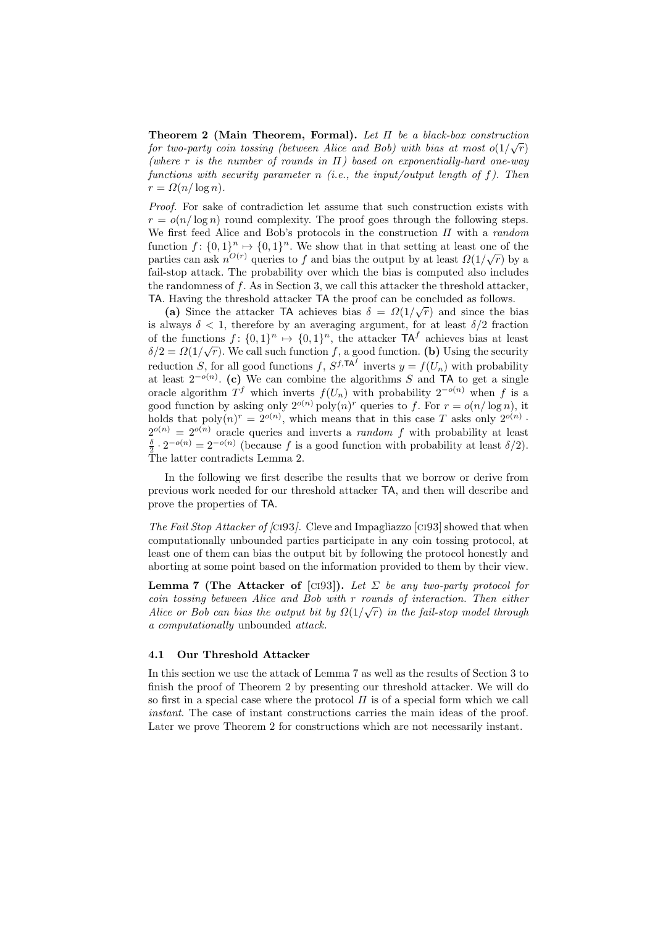**Theorem 2 (Main Theorem, Formal).** Let  $\Pi$  be a black-box construction for two-party coin tossing (between Alice and Bob) with bias at most  $o(1/\sqrt{r})$ (where r is the number of rounds in  $\Pi$ ) based on exponentially-hard one-way functions with security parameter n (i.e., the input/output length of  $f$ ). Then  $r = \Omega(n/\log n)$ .

Proof. For sake of contradiction let assume that such construction exists with  $r = o(n/\log n)$  round complexity. The proof goes through the following steps. We first feed Alice and Bob's protocols in the construction  $\Pi$  with a random function  $f: \{0,1\}^n \mapsto \{0,1\}^n$ . We show that in that setting at least one of the parties can ask  $n^{O(r)}$  queries to f and bias the output by at least  $\Omega(1/\sqrt{r})$  by a fail-stop attack. The probability over which the bias is computed also includes the randomness of f. As in Section 3, we call this attacker the threshold attacker, TA. Having the threshold attacker  $TA$  the proof can be concluded as follows.

(a) Since the attacker TA achieves bias  $\delta = \Omega(1/\sqrt{r})$  and since the bias is always  $\delta$  < 1, therefore by an averaging argument, for at least  $\delta/2$  fraction of the functions  $f: \{0,1\}^n \mapsto \{0,1\}^n$ , the attacker  $TA^f$  achieves bias at least  $\delta/2 = \Omega(1/\sqrt{r})$ . We call such function f, a good function. (b) Using the security reduction S, for all good functions  $f, S^{f,TA^f}$  inverts  $y = f(U_n)$  with probability at least  $2^{-o(n)}$ . (c) We can combine the algorithms S and TA to get a single oracle algorithm  $T^f$  which inverts  $f(U_n)$  with probability  $2^{-o(n)}$  when f is a good function by asking only  $2^{o(n)}$  poly $(n)^r$  queries to f. For  $r = o(n/\log n)$ , it holds that  $\text{poly}(n)^r = 2^{o(n)}$ , which means that in this case T asks only  $2^{o(n)}$ .  $2^{o(n)} = 2^{o(n)}$  oracle queries and inverts a *random f* with probability at least  $\frac{\delta}{2} \cdot 2^{-o(n)} = 2^{-o(n)}$  (because f is a good function with probability at least  $\delta/2$ ). The latter contradicts Lemma 2.

In the following we first describe the results that we borrow or derive from previous work needed for our threshold attacker TA, and then will describe and prove the properties of TA.

The Fail Stop Attacker of  $\langle$ ci93 $\rangle$ . Cleve and Impagliazzo  $\langle$ ci93 $\rangle$  showed that when computationally unbounded parties participate in any coin tossing protocol, at least one of them can bias the output bit by following the protocol honestly and aborting at some point based on the information provided to them by their view.

**Lemma 7 (The Attacker of [CI93]).** Let  $\Sigma$  be any two-party protocol for coin tossing between Alice and Bob with r rounds of interaction. Then either √ Alice or Bob can bias the output bit by  $\Omega(1/\sqrt{r})$  in the fail-stop model through a computationally unbounded attack.

#### 4.1 Our Threshold Attacker

In this section we use the attack of Lemma 7 as well as the results of Section 3 to finish the proof of Theorem 2 by presenting our threshold attacker. We will do so first in a special case where the protocol  $\Pi$  is of a special form which we call instant. The case of instant constructions carries the main ideas of the proof. Later we prove Theorem 2 for constructions which are not necessarily instant.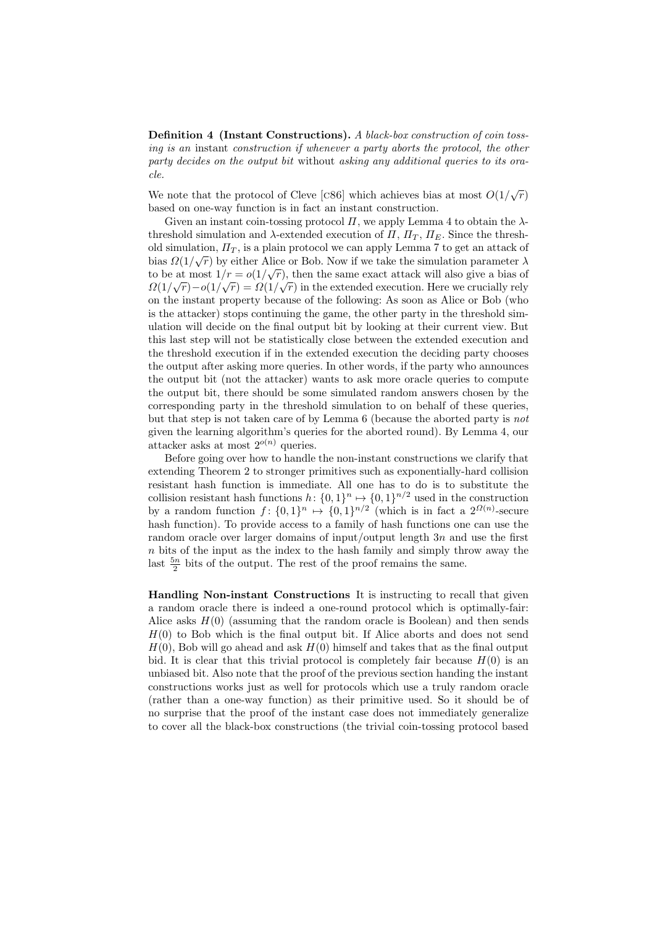Definition 4 (Instant Constructions). A black-box construction of coin tossing is an instant construction if whenever a party aborts the protocol, the other party decides on the output bit without asking any additional queries to its oracle.

We note that the protocol of Cleve [c86] which achieves bias at most  $O(1/\sqrt{r})$ based on one-way function is in fact an instant construction.

Given an instant coin-tossing protocol  $\Pi$ , we apply Lemma 4 to obtain the  $\lambda$ threshold simulation and  $\lambda$ -extended execution of  $\Pi$ ,  $\Pi_T$ ,  $\Pi_E$ . Since the threshold simulation,  $\Pi_T$ , is a plain protocol we can apply Lemma 7 to get an attack of bias  $\Omega(1/\sqrt{r})$  by either Alice or Bob. Now if we take the simulation parameter  $\lambda$ to be at most  $1/r = o(1/\sqrt{r})$ , then the same exact attack will also give a bias of  $\Omega(1/\sqrt{r})-o(1/\sqrt{r})=\Omega(1/\sqrt{r})$  in the extended execution. Here we crucially rely on the instant property because of the following: As soon as Alice or Bob (who is the attacker) stops continuing the game, the other party in the threshold simulation will decide on the final output bit by looking at their current view. But this last step will not be statistically close between the extended execution and the threshold execution if in the extended execution the deciding party chooses the output after asking more queries. In other words, if the party who announces the output bit (not the attacker) wants to ask more oracle queries to compute the output bit, there should be some simulated random answers chosen by the corresponding party in the threshold simulation to on behalf of these queries, but that step is not taken care of by Lemma 6 (because the aborted party is not given the learning algorithm's queries for the aborted round). By Lemma 4, our attacker asks at most  $2^{o(n)}$  queries.

Before going over how to handle the non-instant constructions we clarify that extending Theorem 2 to stronger primitives such as exponentially-hard collision resistant hash function is immediate. All one has to do is to substitute the collision resistant hash functions  $h: \{0,1\}^n \mapsto \{0,1\}^{n/2}$  used in the construction by a random function  $f: \{0,1\}^n \mapsto \{0,1\}^{n/2}$  (which is in fact a  $2^{\Omega(n)}$ -secure hash function). To provide access to a family of hash functions one can use the random oracle over larger domains of input/output length  $3n$  and use the first  $n$  bits of the input as the index to the hash family and simply throw away the last  $\frac{5n}{2}$  bits of the output. The rest of the proof remains the same.

Handling Non-instant Constructions It is instructing to recall that given a random oracle there is indeed a one-round protocol which is optimally-fair: Alice asks  $H(0)$  (assuming that the random oracle is Boolean) and then sends  $H(0)$  to Bob which is the final output bit. If Alice aborts and does not send  $H(0)$ , Bob will go ahead and ask  $H(0)$  himself and takes that as the final output bid. It is clear that this trivial protocol is completely fair because  $H(0)$  is an unbiased bit. Also note that the proof of the previous section handing the instant constructions works just as well for protocols which use a truly random oracle (rather than a one-way function) as their primitive used. So it should be of no surprise that the proof of the instant case does not immediately generalize to cover all the black-box constructions (the trivial coin-tossing protocol based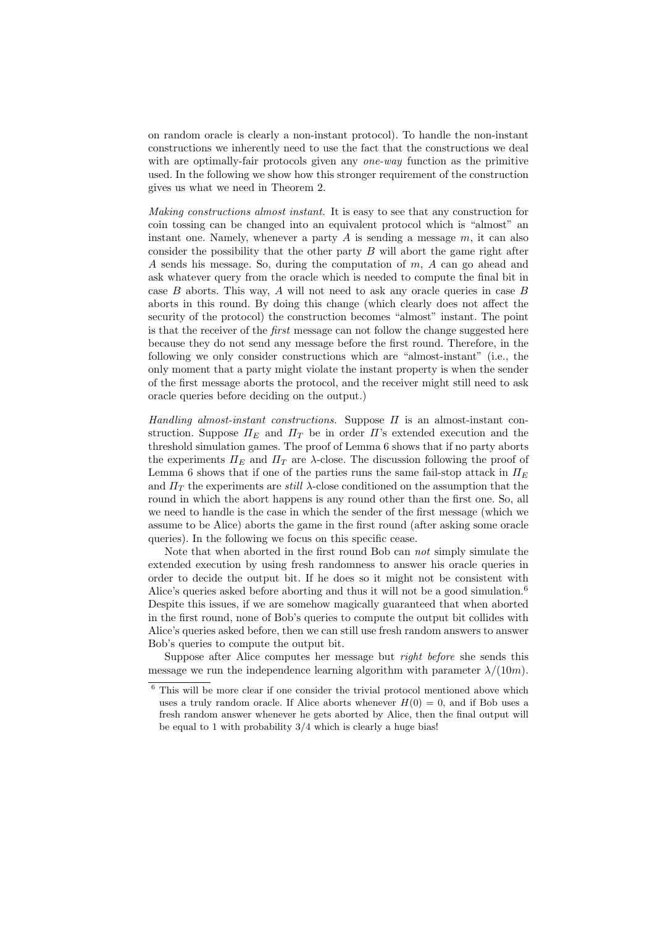on random oracle is clearly a non-instant protocol). To handle the non-instant constructions we inherently need to use the fact that the constructions we deal with are optimally-fair protocols given any *one-way* function as the primitive used. In the following we show how this stronger requirement of the construction gives us what we need in Theorem 2.

Making constructions almost instant. It is easy to see that any construction for coin tossing can be changed into an equivalent protocol which is "almost" an instant one. Namely, whenever a party  $\tilde{A}$  is sending a message  $m$ , it can also consider the possibility that the other party  $B$  will abort the game right after A sends his message. So, during the computation of  $m$ ,  $A$  can go ahead and ask whatever query from the oracle which is needed to compute the final bit in case  $B$  aborts. This way,  $A$  will not need to ask any oracle queries in case  $B$ aborts in this round. By doing this change (which clearly does not affect the security of the protocol) the construction becomes "almost" instant. The point is that the receiver of the first message can not follow the change suggested here because they do not send any message before the first round. Therefore, in the following we only consider constructions which are "almost-instant" (i.e., the only moment that a party might violate the instant property is when the sender of the first message aborts the protocol, and the receiver might still need to ask oracle queries before deciding on the output.)

Handling almost-instant constructions. Suppose  $\Pi$  is an almost-instant construction. Suppose  $\Pi_E$  and  $\Pi_T$  be in order  $\Pi$ 's extended execution and the threshold simulation games. The proof of Lemma 6 shows that if no party aborts the experiments  $\Pi_F$  and  $\Pi_T$  are  $\lambda$ -close. The discussion following the proof of Lemma 6 shows that if one of the parties runs the same fail-stop attack in  $\Pi_F$ and  $\Pi_T$  the experiments are *still*  $\lambda$ -close conditioned on the assumption that the round in which the abort happens is any round other than the first one. So, all we need to handle is the case in which the sender of the first message (which we assume to be Alice) aborts the game in the first round (after asking some oracle queries). In the following we focus on this specific cease.

Note that when aborted in the first round Bob can not simply simulate the extended execution by using fresh randomness to answer his oracle queries in order to decide the output bit. If he does so it might not be consistent with Alice's queries asked before aborting and thus it will not be a good simulation.<sup>6</sup> Despite this issues, if we are somehow magically guaranteed that when aborted in the first round, none of Bob's queries to compute the output bit collides with Alice's queries asked before, then we can still use fresh random answers to answer Bob's queries to compute the output bit.

Suppose after Alice computes her message but right before she sends this message we run the independence learning algorithm with parameter  $\lambda/(10m)$ .

 $6$  This will be more clear if one consider the trivial protocol mentioned above which uses a truly random oracle. If Alice aborts whenever  $H(0) = 0$ , and if Bob uses a fresh random answer whenever he gets aborted by Alice, then the final output will be equal to 1 with probability 3/4 which is clearly a huge bias!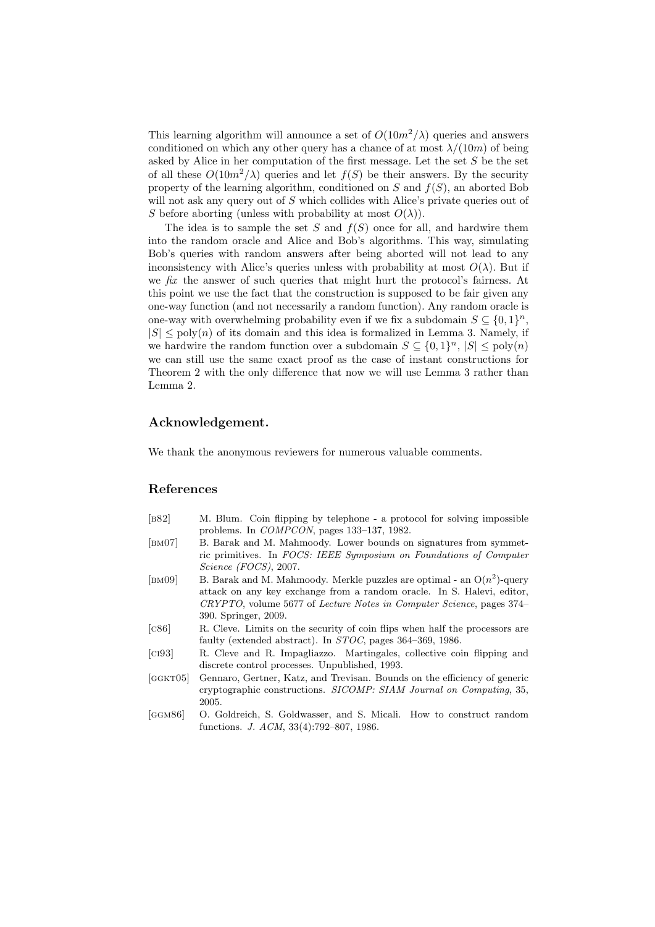This learning algorithm will announce a set of  $O(10m^2/\lambda)$  queries and answers conditioned on which any other query has a chance of at most  $\lambda/(10m)$  of being asked by Alice in her computation of the first message. Let the set  $S$  be the set of all these  $O(10m^2/\lambda)$  queries and let  $f(S)$  be their answers. By the security property of the learning algorithm, conditioned on  $S$  and  $f(S)$ , an aborted Bob will not ask any query out of S which collides with Alice's private queries out of S before aborting (unless with probability at most  $O(\lambda)$ ).

The idea is to sample the set S and  $f(S)$  once for all, and hardwire them into the random oracle and Alice and Bob's algorithms. This way, simulating Bob's queries with random answers after being aborted will not lead to any inconsistency with Alice's queries unless with probability at most  $O(\lambda)$ . But if we fix the answer of such queries that might hurt the protocol's fairness. At this point we use the fact that the construction is supposed to be fair given any one-way function (and not necessarily a random function). Any random oracle is one-way with overwhelming probability even if we fix a subdomain  $S \subseteq \{0,1\}^n$ ,  $|S| \leq \text{poly}(n)$  of its domain and this idea is formalized in Lemma 3. Namely, if we hardwire the random function over a subdomain  $S \subseteq \{0,1\}^n$ ,  $|S| \leq \text{poly}(n)$ we can still use the same exact proof as the case of instant constructions for Theorem 2 with the only difference that now we will use Lemma 3 rather than Lemma 2.

## Acknowledgement.

We thank the anonymous reviewers for numerous valuable comments.

#### References

- [b] [b82] M. Blum. Coin flipping by telephone a protocol for solving impossible problems. In COMPCON, pages 133–137, 1982.
- [bm07] B. Barak and M. Mahmoody. Lower bounds on signatures from symmetric primitives. In FOCS: IEEE Symposium on Foundations of Computer Science (FOCS), 2007.
- [BMO9] B. Barak and M. Mahmoody. Merkle puzzles are optimal an  $O(n^2)$ -query attack on any key exchange from a random oracle. In S. Halevi, editor, CRYPTO, volume 5677 of Lecture Notes in Computer Science, pages 374– 390. Springer, 2009.
- [c86] R. Cleve. Limits on the security of coin flips when half the processors are faulty (extended abstract). In STOC, pages 364–369, 1986.
- [ci93] R. Cleve and R. Impagliazzo. Martingales, collective coin flipping and discrete control processes. Unpublished, 1993.
- [ggkt05] Gennaro, Gertner, Katz, and Trevisan. Bounds on the efficiency of generic cryptographic constructions. SICOMP: SIAM Journal on Computing, 35, 2005.
- [ggm86] O. Goldreich, S. Goldwasser, and S. Micali. How to construct random functions. J. ACM, 33(4):792–807, 1986.